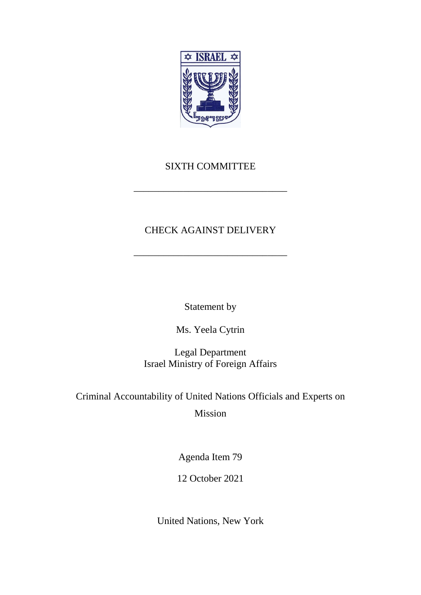

## SIXTH COMMITTEE

\_\_\_\_\_\_\_\_\_\_\_\_\_\_\_\_\_\_\_\_\_\_\_\_\_\_\_\_\_\_\_

## CHECK AGAINST DELIVERY

\_\_\_\_\_\_\_\_\_\_\_\_\_\_\_\_\_\_\_\_\_\_\_\_\_\_\_\_\_\_\_

Statement by

Ms. Yeela Cytrin

Legal Department Israel Ministry of Foreign Affairs

Criminal Accountability of United Nations Officials and Experts on

Mission

Agenda Item 79

12 October 2021

United Nations, New York